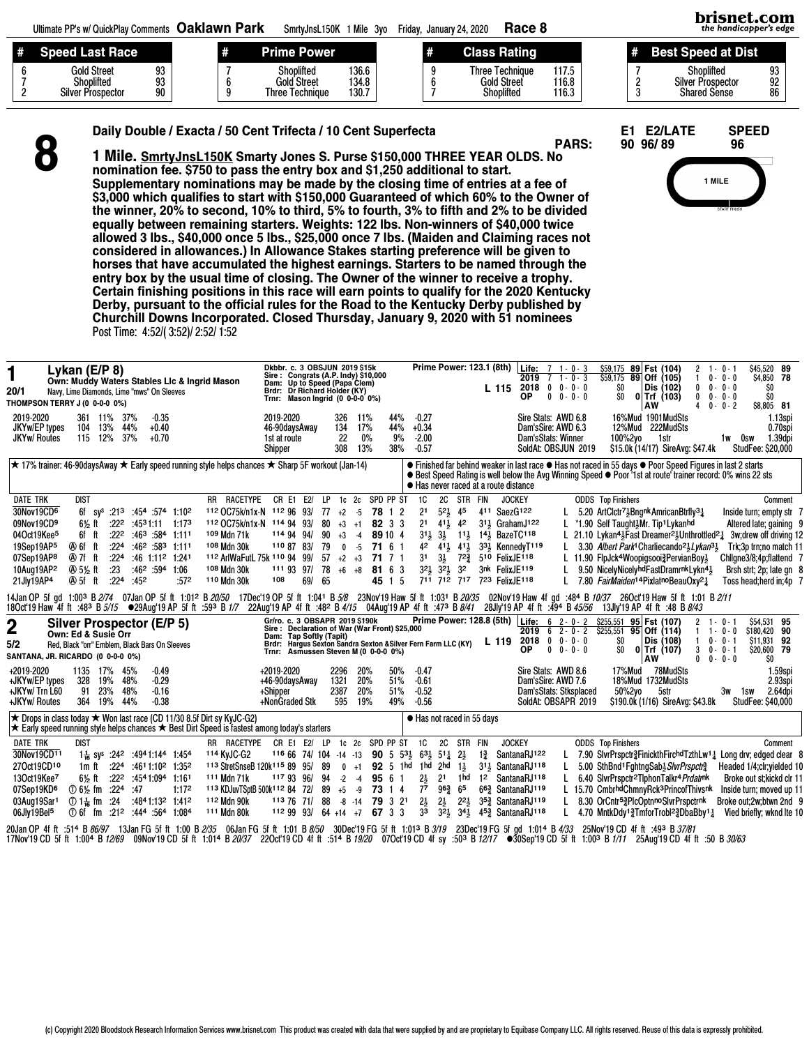|   | Ultimate PP's w/ QuickPlay Comments Oaklawn Park                        |  | SmrtvJnsL150K 1 Mile 3vo                     |                         |   | Race 8<br>Friday, January 24, 2020                         |                         |  | brisnet.com<br>the handicapper's edge                         |                |
|---|-------------------------------------------------------------------------|--|----------------------------------------------|-------------------------|---|------------------------------------------------------------|-------------------------|--|---------------------------------------------------------------|----------------|
| # | Speed Last Race                                                         |  | <b>Prime Power</b>                           |                         | # | <b>Class Rating</b>                                        |                         |  | <b>Best Speed at Dist</b>                                     |                |
|   | Gold Street<br>93<br>93<br>Shoplifted<br><b>Silver Prospector</b><br>90 |  | Shoplifted<br>Gold Street<br>Three Technique | 136.6<br>134.8<br>130.7 |   | <b>Three Technique</b><br><b>Gold Street</b><br>Shoplifted | 117.5<br>116.8<br>116.3 |  | Shoplifted<br><b>Silver Prospector</b><br><b>Shared Sense</b> | 93<br>92<br>86 |

| Daily Double / Exacta / 50 Cent Trifecta / 10 Cent Superfecta | E1 E2/LATE SPEED |  |
|---------------------------------------------------------------|------------------|--|
|---------------------------------------------------------------|------------------|--|

8

1 Mile. SmrtyJnsL150K Smarty Jones S. Purse \$150,000 THREE YEAR OLDS. No nomination fee. \$750 to pass the entry box and \$1,250 additional to start. Supplementary nominations may be made by the closing time of entries at a fee of \$3,000 which qualifies to start with \$150,000 Guaranteed of which 60% to the Owner of the winner, 20% to second, 10% to third, 5% to fourth, 3% to fifth and 2% to be divided equally between remaining starters. Weights: 122 lbs. Non-winners of \$40,000 twice allowed 3 lbs., \$40,000 once 5 lbs., \$25,000 once 7 lbs. (Maiden and Claiming races not considered in allowances.) In Allowance Stakes starting preference will be given to horses that have accumulated the highest earnings. Starters to be named through the entry box by the usual time of closing. The Owner of the winner to receive a trophy. Certain finishing positions in this race will earn points to qualify for the 2020 Kentucky Derby, pursuant to the official rules for the Road to the Kentucky Derby published by Churchill Downs Incorporated. Closed Thursday, January 9, 2020 with 51 nominees Post Time: 4:52/( 3:52)/ 2:52/ 1:52

PARS: 90 96/89 96



| 1<br>20/1<br>THOMPSON TERRY J (0 0-0-0 0%)<br>2019-2020<br>JKYw/EP types<br><b>JKYw/ Routes</b>                                                                                                                                                                                                                                                               | Lykan (E/P 8)<br>Navy, Lime Diamonds, Lime "mws" On Sleeves                                                                                                                                                                                                                                                                                                                                 | 361<br>104<br>115 12%                                                                         | 11%<br>13% |                                      | 37%<br>44%<br>37%        | $-0.35$<br>$+0.40$<br>$+0.70$                                                         | Own: Muddy Waters Stables Lic & Ingrid Mason                                                                                                              |  |                                                                                                                                                                                |  | Dkbbr. c. 3 OBSJUN 2019 \$15k<br>Sire: Congrats (A.P. Indy) \$10,000<br>Dam: Up to Speed (Papa Clem)<br>Brdr: Dr Richard Holder (KY)<br>Trnr: Mason Ingrid (0 0-0-0 0%)<br>2019-2020<br>46-90daysAway<br>1st at route<br>Shipper |            |                                               | 326<br>134<br>22<br>308                                                                 | 11%<br>17%<br>0%<br>13%  |                                                                              | 44%<br>44%<br>9%<br>38%  | Prime Power: 123.1 (8th)<br>$-0.27$<br>$+0.34$<br>$-2.00$<br>$-0.57$                                                                                                                                         |                                                                                                                                                                                      |                                                             |                |                                                                                                                         | <b>Life:</b> $7 \t1 \t0 \t3$<br>$2019$ 7 1 - 0 - 3<br>L 115 2018 0 0 - 0 - 0<br>ОP<br>Sire Stats: AWD 6.8<br>Dam'sSire: AWD 6.3<br>Dam'sStats: Winner<br>SoldAt: OBSJUN 2019 | $0 \t 0 - 0 - 0$ | SO.<br>SO.<br>100%2yo                                       | 12%Mud           | \$59,175 89 Fst (104)<br>$$59,175$ 89 Off (105)<br>Dis (102)<br>$0$ Trf $(103)$<br>AW<br>16%Mud 1901MudSts<br>222MudSts<br>1str<br>\$15.0k (14/17) SireAvg: \$47.4k                                                                                                                                                                                                                                                                                                                                                                  | $\overline{c}$<br>1<br>0    | $1 - 0 - 1$<br>$0 - 0 - 0$<br>$0 \t 0 - 0 - 0$<br>$0 - 0 - 0$<br>$40 - - -2$ | 1w 0sw | \$45,520 89<br>\$4,850 78<br>SO.<br>SO.<br>\$8.805 81<br>1.13spi<br>0.70spi<br>1.39dpi<br><b>StudFee: \$20,000</b>                                                                                                                         |
|---------------------------------------------------------------------------------------------------------------------------------------------------------------------------------------------------------------------------------------------------------------------------------------------------------------------------------------------------------------|---------------------------------------------------------------------------------------------------------------------------------------------------------------------------------------------------------------------------------------------------------------------------------------------------------------------------------------------------------------------------------------------|-----------------------------------------------------------------------------------------------|------------|--------------------------------------|--------------------------|---------------------------------------------------------------------------------------|-----------------------------------------------------------------------------------------------------------------------------------------------------------|--|--------------------------------------------------------------------------------------------------------------------------------------------------------------------------------|--|----------------------------------------------------------------------------------------------------------------------------------------------------------------------------------------------------------------------------------|------------|-----------------------------------------------|-----------------------------------------------------------------------------------------|--------------------------|------------------------------------------------------------------------------|--------------------------|--------------------------------------------------------------------------------------------------------------------------------------------------------------------------------------------------------------|--------------------------------------------------------------------------------------------------------------------------------------------------------------------------------------|-------------------------------------------------------------|----------------|-------------------------------------------------------------------------------------------------------------------------|------------------------------------------------------------------------------------------------------------------------------------------------------------------------------|------------------|-------------------------------------------------------------|------------------|--------------------------------------------------------------------------------------------------------------------------------------------------------------------------------------------------------------------------------------------------------------------------------------------------------------------------------------------------------------------------------------------------------------------------------------------------------------------------------------------------------------------------------------|-----------------------------|------------------------------------------------------------------------------|--------|--------------------------------------------------------------------------------------------------------------------------------------------------------------------------------------------------------------------------------------------|
|                                                                                                                                                                                                                                                                                                                                                               | $\star$ 17% trainer: 46-90daysAway $\star$ Early speed running style helps chances $\star$ Sharp 5F workout (Jan-14)<br>● Finished far behind weaker in last race ● Has not raced in 55 days ● Poor Speed Figures in last 2 starts<br>● Best Speed Rating is well below the Avg Winning Speed ● Poor '1st at route' trainer record: 0% wins 22 sts<br>● Has never raced at a route distance |                                                                                               |            |                                      |                          |                                                                                       |                                                                                                                                                           |  |                                                                                                                                                                                |  |                                                                                                                                                                                                                                  |            |                                               |                                                                                         |                          |                                                                              |                          |                                                                                                                                                                                                              |                                                                                                                                                                                      |                                                             |                |                                                                                                                         |                                                                                                                                                                              |                  |                                                             |                  |                                                                                                                                                                                                                                                                                                                                                                                                                                                                                                                                      |                             |                                                                              |        |                                                                                                                                                                                                                                            |
| <b>DATE TRK</b><br>30Nov19CD6<br>09Nov19CD9<br>04Oct19Kee <sup>5</sup><br>19Sep19AP5<br>07Sep19AP8<br>10Aug19AP2<br>21Jly19AP4                                                                                                                                                                                                                                |                                                                                                                                                                                                                                                                                                                                                                                             | <b>DIST</b><br>6½ ft<br>6f ft<br>④of ft<br>④97fft<br><b>④5½ ft</b><br>405fft                  |            | :222<br>:224<br>:224<br>: 23<br>:224 | :452                     | $:46^3:58^4:111^1$<br>$:462:583$ 1:111<br>:46 1:11 <sup>2</sup> 1:241<br>$:46^2:59^4$ | 6f sy <sup>s</sup> :21 <sup>3</sup> :45 <sup>4</sup> :574 1:10 <sup>2</sup><br>$:22^2$ $:45^31:11$ 1:173<br>1:06<br>:572                                  |  | RR RACETYPE<br>112 OC75k/n1x-N 112 96 93/<br>112 OC75k/n1x-N 114 94 93/<br><sup>109</sup> Mdn 71k<br>108 Mdn 30k<br>112 ArlWaFutL 75k 110 94 99/<br>108 Mdn 30k<br>110 Mdn 30k |  | CR E1<br>114 94 94/<br>110 87 83/<br>111 93 97/<br>108                                                                                                                                                                           | E2/<br>69/ | LP.<br>77<br>80<br>90<br>79<br>57<br>78<br>65 | 1c <sub>2c</sub><br>$+2$ $-5$<br>$+3$ +1<br>$+3$<br>$\mathbf 0$<br>$+2$ $+3$<br>$+6 +8$ | $-4$<br>$-5$             | SPD PP ST<br>78 1 2<br>82 3 3<br>89 10 4<br>71 6 1<br>71 7 1<br>81 6 3<br>45 | 1 5                      | 1C<br>21<br>2 <sup>1</sup><br>3 <sup>1</sup>                                                                                                                                                                 | $5^{21}$<br>$41\frac{1}{2}$ 42<br>$31\frac{1}{2}$ $3\frac{1}{2}$<br>$4^2$ $4^1\frac{1}{2}$ $4^1\frac{1}{2}$<br>$3\frac{1}{2}$<br>$32\frac{1}{2}$ $32\frac{1}{2}$ $32$<br>711 712 717 | 2C STR FIN<br>45<br>$11\frac{1}{2}$<br>$72\frac{3}{4}$      |                | <b>JOCKEY</b><br>411 SaezG122<br>311 Graham J122<br>141 BazeTC118<br>510 FelixJE118<br>3nk FelixJE119<br>723 FelixJE118 | 33 <sup>1</sup> Kennedy <sup>T119</sup>                                                                                                                                      |                  | <b>ODDS</b> Top Finishers                                   |                  | L 5.20 ArtClctr <sup>71</sup> <sub>5</sub> BngnkAmricanBtrfly <sup>31</sup> <sub>4</sub><br>L *1.90 Self Taught3Mr. Tip1 Lykanhd<br>L 21.10 Lykan <sup>41</sup> <sub>3</sub> Fast Dreamer <sup>21</sup> <sub>3</sub> Unthrottled <sup>21</sup> <sub>4</sub><br>L 3.30 Albert Park <sup>1</sup> Charliecando <sup>21</sup> <sub>3</sub> Lykan <sup>31</sup> <sub>3</sub><br>L 11.90 FlpJck <sup>4</sup> Woopigsooi?PervianBoy?<br>9.50 NicelyNicelyhdFastDramrnkLykn41<br>7.80 FairMaiden <sup>14</sup> PixlatnoBeauOxy <sup>21</sup> |                             |                                                                              |        | Comment<br>Inside turn; empty str 7<br>Altered late; gaining 9<br>3w;drew off driving 12<br>Trk;3p trn;no match 11<br>Chllgne3/8;4p;flattend 7<br>Brsh strt; 2p; late gn 8<br>Toss head; herd in; 4p 7                                     |
| 14Jan OP 5f gd 1:003 B 2/74 07Jan OP 5f ft 1:012 B 20/50 17Dec'19 OP 5f ft 1:041 B 5/8 23Nov'19 Haw 5f ft 1:031 B 20/35<br>180ct19 Haw 4fft :483 B5/15 ●29Aug'19 AP 5fft :593 B1/7 22Aug'19 AP 4fft :482 B4/15 04Aug'19 AP 4fft :473 B8/41 28Jly'19 AP 4fft :494 B45/56 13Jly'19 AP 4fft :48 B8/43<br>$\mathbf 2$<br>5/2<br>SANTANA, JR. RICARDO (0 0-0-0 0%) | Silver Prospector (E/P 5)<br>Own: Ed & Susie Orr<br>Red, Black "orr" Emblem, Black Bars On Sleeves                                                                                                                                                                                                                                                                                          |                                                                                               |            |                                      |                          |                                                                                       |                                                                                                                                                           |  |                                                                                                                                                                                |  | Gr/ro. c. 3 OBSAPR 2019 \$190k Pri<br>Sire: Declaration of War (War Front) \$25,000<br>Trnr: Asmussen Steven M (0 0-0-0 0%)                                                                                                      |            |                                               |                                                                                         |                          |                                                                              |                          | Dam: Tap Softly (Tapit)<br>Brdr: Hargus Sexton Sandra Sexton & Silver Fern Farm LLC (KY)                                                                                                                     |                                                                                                                                                                                      |                                                             |                | L 119                                                                                                                   | Prime Power: 128.8 (5th) Life: 6 2-0-2<br>$2019$ 6 2 - 0 - 2<br>$2018$ 0 0 $\cdot$ 0 0<br>ОP                                                                                 | $0 \t 0 - 0 - 0$ | \$255,551<br>$$255,551$ 95 Off (114)<br>SO.<br>SO.          |                  | 02Nov'19 Haw 4f gd :484 B 10/37 26Oct'19 Haw 5f ft 1:01 B 2/11<br>95 Fst (107)<br>Dis (108)<br>$0$ Trf (107)<br>AW                                                                                                                                                                                                                                                                                                                                                                                                                   | 2<br>$\mathbf{1}$<br>3<br>0 | 1 - 0 - 1<br>$1 - 0 - 0$<br>$0 - 0 - 1$<br>$0 - 0 - 1$<br>$0 - 0 - 0$        |        | \$54.531 95<br>\$180.420 90<br>\$11.931 92<br>\$20,600 79<br>SO.                                                                                                                                                                           |
| +2019-2020<br>+JKYw/EP types<br>+JKYw/ Trn L60<br>+JKYw/ Routes                                                                                                                                                                                                                                                                                               |                                                                                                                                                                                                                                                                                                                                                                                             | 1135 17%<br>328<br>91<br>364 19%                                                              | 19%<br>23% |                                      | 45%<br>48%<br>48%<br>44% | $-0.49$<br>$-0.29$<br>$-0.16$<br>$-0.38$                                              |                                                                                                                                                           |  |                                                                                                                                                                                |  | +2019-2020<br>+46-90daysAway<br>+Shipper<br>+NonGraded Stk                                                                                                                                                                       |            |                                               | 2296<br>1321<br>2387<br>595                                                             | 20%<br>20%<br>20%<br>19% |                                                                              | 50%<br>51%<br>51%<br>49% | $-0.47$<br>$-0.61$<br>$-0.52$<br>$-0.56$                                                                                                                                                                     |                                                                                                                                                                                      |                                                             |                |                                                                                                                         | Sire Stats: AWD 8.6<br>Dam'sSire: AWD 7.6<br>Dam'sStats: Stksplaced<br>SoldAt: OBSAPR 2019                                                                                   |                  |                                                             | 17%Mud<br>50%2yo | 78MudSts<br>18%Mud 1732MudSts<br>5str<br>\$190.0k (1/16) SireAvg: \$43.8k                                                                                                                                                                                                                                                                                                                                                                                                                                                            |                             |                                                                              | 3w 1sw | 1.59spi<br>2.93spi<br>2.64dpi<br><b>StudFee: \$40,000</b>                                                                                                                                                                                  |
| $\star$ Drops in class today $\star$ Won last race (CD 11/30 8.5f Dirt sy KyJC-G2)<br>$\star$ Early speed running style helps chances $\star$ Best Dirt Speed is fastest among today's starters                                                                                                                                                               |                                                                                                                                                                                                                                                                                                                                                                                             |                                                                                               |            |                                      |                          |                                                                                       |                                                                                                                                                           |  |                                                                                                                                                                                |  |                                                                                                                                                                                                                                  |            |                                               |                                                                                         |                          |                                                                              |                          | • Has not raced in 55 days                                                                                                                                                                                   |                                                                                                                                                                                      |                                                             |                |                                                                                                                         |                                                                                                                                                                              |                  |                                                             |                  |                                                                                                                                                                                                                                                                                                                                                                                                                                                                                                                                      |                             |                                                                              |        |                                                                                                                                                                                                                                            |
| <b>DATE TRK</b><br>30Nov19CD11<br>27Oct19CD10<br>13Oct19Kee7<br>07Sep19KD <sup>6</sup><br>03Aug19Sar1<br>06Jly19Bel5<br>20Jan OP 4f ft :514 B 86/97 13Jan FG 5f ft 1:00 B 2/35 06Jan FG 5f ft 1:01 B 8/50                                                                                                                                                     |                                                                                                                                                                                                                                                                                                                                                                                             | <b>DIST</b><br>1m ft<br>6½ ft<br>$(D)$ 6% fm $:224$<br>$\circled{1}$ 1 $\frac{1}{16}$ fm : 24 |            | :22 <sup>2</sup>                     | :47                      | :4541:094 1:161                                                                       | 1 $\frac{1}{16}$ sy <sup>s</sup> :24 <sup>2</sup> :4941:144 1:454<br>$:224$ $:4611:102$ 1:352<br>1:172<br>:4841:132 1:412<br>① 6f fm :212 :444 :564 1:084 |  | RR RACETYPE<br>114 KyJC-G2<br>113 StretSnseB 120k115 89 95/<br>111 Mdn 71k<br>113 KDJuvTSptB 500k112 84 72/<br>112 Mdn 90k<br>111 Mdn 80k                                      |  | CR E1 E2/ LP 1c 2c SPD PP ST<br>$1166674/104 -14 -13$<br>117 93 96/<br>1137671/<br>112 99 93/                                                                                                                                    |            | -89<br>94<br>89<br>88                         | $0 + 1$<br>$-2$<br>$+5 -9$<br>$64 + 14 + 7$                                             | $-4$                     | 95 6 1<br>73 1 4<br>$-8$ $-14$ 79 3 21<br>67 3 3                             |                          | <b>1C</b><br><b>90</b> 5 $53\frac{1}{2}$ $63\frac{1}{2}$ $51\frac{1}{4}$ $2\frac{1}{2}$<br>92 5 1hd 1hd 2hd<br>$2\frac{1}{2}$<br>$7^7$<br>$2\frac{1}{2}$<br>33<br>30Dec'19 FG 5f ft 1:01 <sup>3</sup> B 3/19 | 2 <sup>1</sup><br>$96\frac{3}{4}$ 65<br>$2\frac{1}{2}$<br>$32\frac{1}{2}$                                                                                                            | 2C STR FIN<br>$1\frac{1}{2}$<br>1hd<br>$2^{21}$<br>$3^{41}$ | $1\frac{3}{4}$ | <b>JOCKEY</b>                                                                                                           | SantanaRJ122<br>311 SantanaRJ118<br>12 SantanaRJ118<br>663 SantanaRJ119<br>35 <sup>3</sup> SantanaRJ119<br>453 SantanaRJ118<br>23Dec'19 FG 5f gd 1:014 B 4/33                |                  | <b>ODDS</b> Top Finishers<br>25Nov'19 CD 4f ft :493 B 37/81 |                  | 5.00 SthBnd <sup>1</sup> FghtngSab} SlvrPrspctr <sup>3</sup><br>L 6.40 SivrPrspctr <sup>2</sup> TiphonTalkr <sup>4</sup> Prdatr <sup>ok</sup><br>L 15.70 CmbrhdChmnyRck <sup>3</sup> PrincofThivsnk<br>8.30 OrCntr <sup>5</sup> 2PlcOptnnoSlvrPrspctrnk<br>4.70 MntkDdy13TmforTrobl <sup>2</sup> 3DbaBby11                                                                                                                                                                                                                           |                             |                                                                              |        | Comment<br>7.90 SlvrPrspctr? Finickth Firchd Tzth Lw <sup>1</sup> 1 Long drv; edged clear 8<br>Headed 1/4;clr;yielded 10<br>Broke out st; kickd clr 11<br>Inside turn; moved up 11<br>Broke out;2w;btwn 2nd 9<br>Vied briefly; wknd Ite 10 |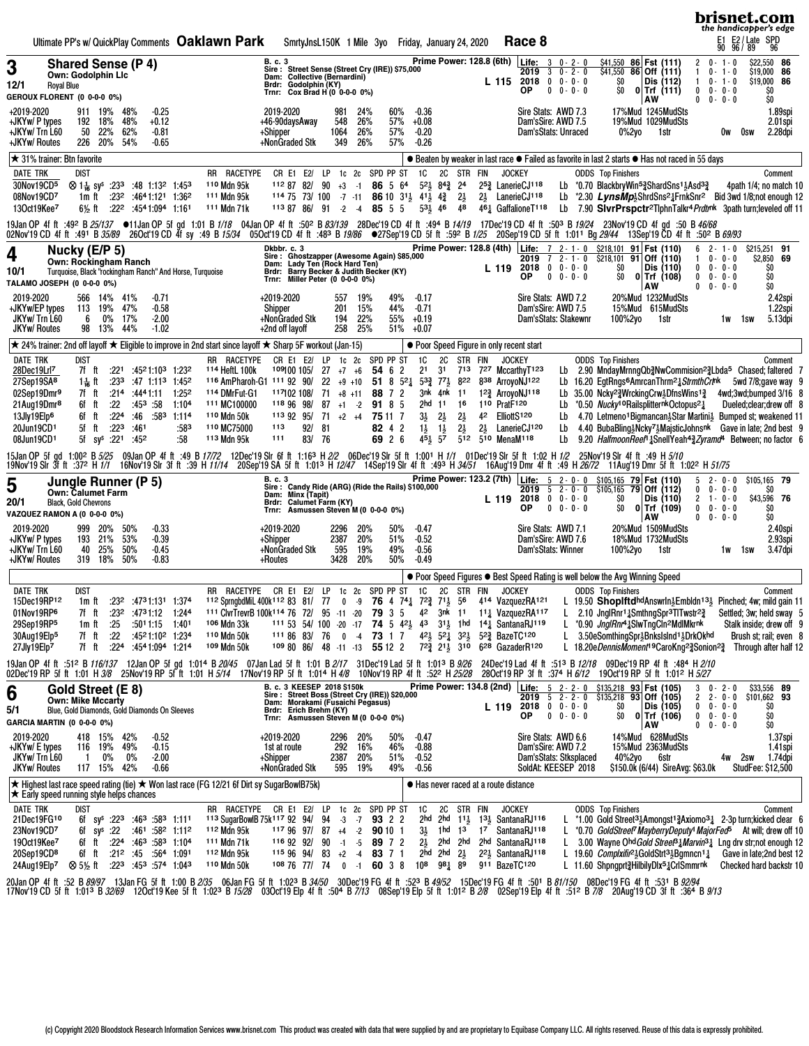| Ultimate PP's w/ QuickPlay Comments Oaklawn Park<br>Race 8<br>SmrtyJnsL150K 1 Mile 3yo Friday, January 24, 2020                                                                                                                                                                                                                                                                                                                                                                                                                                                                                                                                                                                                                                                                                                                                                                                                                                                                                                                                                                                                                                                                                                                                                                                                                                                                                                                                                                                                                                                                                        | brisnet.com<br>the handicapper's edge<br>E1 E2 / Late SPD<br>90 96 / 89 96                                                                                                                                                                                                                                                                                                                                                                                                                                                                      |
|--------------------------------------------------------------------------------------------------------------------------------------------------------------------------------------------------------------------------------------------------------------------------------------------------------------------------------------------------------------------------------------------------------------------------------------------------------------------------------------------------------------------------------------------------------------------------------------------------------------------------------------------------------------------------------------------------------------------------------------------------------------------------------------------------------------------------------------------------------------------------------------------------------------------------------------------------------------------------------------------------------------------------------------------------------------------------------------------------------------------------------------------------------------------------------------------------------------------------------------------------------------------------------------------------------------------------------------------------------------------------------------------------------------------------------------------------------------------------------------------------------------------------------------------------------------------------------------------------------|-------------------------------------------------------------------------------------------------------------------------------------------------------------------------------------------------------------------------------------------------------------------------------------------------------------------------------------------------------------------------------------------------------------------------------------------------------------------------------------------------------------------------------------------------|
| Prime Power: 128.8 (6th) Life: 3 0 - 2 - 0<br>B. c. 3<br>\$41,550 86 Fst (111)<br><b>Shared Sense (P 4)</b><br>3<br>Sire : Street Sense (Street Cry (IRE)) \$75,000<br>Dam: Collective (Bernardini)<br>Brdr: Godolphin (KY)<br>$$41,550$ 86 Off (111)<br>$30 - 2 - 0$<br>2019<br><b>Own: Godolphin Llc</b><br>\$O<br>Dis (112)<br>$L$ 115 2018 0 0 0 0 0<br>12/1<br><b>Royal Blue</b><br>ОP<br>$0 \t 0 - 0 - 0$<br>SO.<br>$0$ Trf (111)<br>Trnr: Cox Brad H (0 0-0-0 0%)<br>GEROUX FLORENT (0 0-0-0 0%)<br>AW                                                                                                                                                                                                                                                                                                                                                                                                                                                                                                                                                                                                                                                                                                                                                                                                                                                                                                                                                                                                                                                                                          | \$22,550 86<br>$2 \t 0 - 1 - 0$<br>\$19,000 86<br>$0 - 1 - 0$<br>1<br>\$19,000 86<br>$0 - 1 - 0$<br>$\mathbf{1}$<br>$0 \t 0 - 0 - 0$<br>SO.<br>$0 \t 0 \t 0 \t 0 \t 0$<br>SO.                                                                                                                                                                                                                                                                                                                                                                   |
| 60%<br>+2019-2020<br>2019-2020<br>24%<br>$-0.36$<br>Sire Stats: AWD 7.3<br>17%Mud 1245MudSts<br>911 19%<br>48%<br>$-0.25$<br>981<br>26%<br>19%Mud 1029MudSts<br>+JKYw/ P types<br>192 18%<br>48%<br>$+0.12$<br>548<br>57%<br>$+0.08$<br>Dam'sSire: AWD 7.5<br>+46-90daysAway<br>26%<br>+JKYw/ Trn L60<br>50<br>22%<br>62%<br>57%<br>$-0.20$<br>Dam'sStats: Unraced<br>-0.81<br>+Shipper<br>1064<br>0%2yo<br>1str<br>+JKYw/ Routes<br>226 20%<br>+NonGraded Stk<br>349<br>26%<br>54%<br>$-0.65$<br>57%<br>$-0.26$                                                                                                                                                                                                                                                                                                                                                                                                                                                                                                                                                                                                                                                                                                                                                                                                                                                                                                                                                                                                                                                                                       | 1.89spi<br>2.01spi<br>2.28dpi<br>0w<br>Osw                                                                                                                                                                                                                                                                                                                                                                                                                                                                                                      |
| $\star$ 31% trainer: Btn favorite<br>● Beaten by weaker in last race ● Failed as favorite in last 2 starts ● Has not raced in 55 days                                                                                                                                                                                                                                                                                                                                                                                                                                                                                                                                                                                                                                                                                                                                                                                                                                                                                                                                                                                                                                                                                                                                                                                                                                                                                                                                                                                                                                                                  |                                                                                                                                                                                                                                                                                                                                                                                                                                                                                                                                                 |
| 2C STR FIN<br>1c 2c SPD PP ST<br>1C<br><b>JOCKEY</b><br>DATE TRK<br>dist<br>RR RACETYPE<br>CR E1 E2/ LP<br><b>ODDS</b> Top Finishers<br>30Nov19CD5<br>110 Mdn 95k<br>$52\frac{1}{2}$ $84\frac{3}{4}$ 24<br>25 <sup>3</sup> LanerieCJ118<br>$\otimes$ 1 $\frac{1}{16}$ sy <sup>s</sup> :23 <sup>3</sup> :48 1:13 <sup>2</sup> 1:45 <sup>3</sup><br>$1128782/90+3-1$<br>86 5 64<br>Lb $*0.70$ BlackbryWin <sup>53</sup> / <sub>2</sub> ShardSns <sup>1</sup> 3Asd <sup>33</sup> / <sub>2</sub><br>08Nov19CD7<br>111 Mdn 95k<br>$2\frac{1}{2}$<br>2 <sup>1</sup> LanerieCJ <sup>118</sup><br>1m ft $:23^2$ :4641:121 1:362<br>$1147573/100 - 7 - 11$<br><b>86</b> 10 $3^{11}$ , 4 <sup>1</sup> , 4 <sup>2</sup><br>13Oct19Kee7<br>$6\frac{1}{2}$ ft :22 <sup>2</sup> :4541:094 1:161<br>111 Mdn 71k<br>$1138786/91 - 2 - 4$<br>85 5 5<br>$53\frac{1}{2}$ 46<br>48<br>461 GaffalioneT118                                                                                                                                                                                                                                                                                                                                                                                                                                                                                                                                                                                                                                                                                                                   | Comment<br>4path $1/4$ ; no match 10<br>Lb *2.30 LynsMp <sup>1</sup> <sub>3</sub> ShrdSns <sup>2</sup> 1FrnkSnr <sup>2</sup> Bid 3wd 1/8;not enough 12<br>Lb 7.90 SivrPrspctr <sup>2</sup> TiphnTalkr <sup>4</sup> Prdtrnk 3path turn; leveled off 11                                                                                                                                                                                                                                                                                           |
| 19Jan OP 4f ft :49º B 25/137 ●11Jan OP 5f gd 1:01 B 1/18 04Jan OP 4f ft :50º B 83/139 28Dec'19 CD 4f ft :49ª B 14/19 17Dec'19 CD 4f ft :503 B 19/24 23Nov'19 CD 4f gd :50 B 46/68<br>02Nov19CD 4f ft 49 B 35/89 26Oct19CD 4f sy 49 B 15/34 05Oct19CD 4f ft 48 B 19/86 02TSep 19CD 5f ft 59 B 1/25 20Sep 19CD 5f ft 1.01 Bg 29/44 13Sep 19 CD 4f ft 50 P is 60 P 36 Hz                                                                                                                                                                                                                                                                                                                                                                                                                                                                                                                                                                                                                                                                                                                                                                                                                                                                                                                                                                                                                                                                                                                                                                                                                                  |                                                                                                                                                                                                                                                                                                                                                                                                                                                                                                                                                 |
| Prime Power: 128.8 (4th)   Life: 7 2-1-0<br>Dkbbr. c. 3<br>\$218,101 91 Fst (110)<br>Nucky (E/P 5)<br>4<br>Sire: Ghostzapper (Awesome Again) \$85,000<br>$2019$ $7$ $2 - 1 - 0$<br>$$218,101$ 91 Off (110)<br><b>Own: Rockingham Ranch</b><br>Dam: Lady Ten (Rock Hard Ten)<br>Brdr: Barry Becker & Judith Becker (KY)<br>$2018$ 0 0 - 0 - 0<br>SO<br>Dis (110)<br>L 119<br>Turquoise, Black "rockingham Ranch" And Horse, Turquoise<br>10/1<br>$0 0 - 0 - 0$<br>ΟP<br>\$0<br>$0$ Trf (108)<br>Trnr: Miller Peter (0 0-0-0 0%)<br>TALAMO JOSEPH (0 0-0-0 0%)<br><b>AW</b>                                                                                                                                                                                                                                                                                                                                                                                                                                                                                                                                                                                                                                                                                                                                                                                                                                                                                                                                                                                                                              | $62 - 1 - 0$<br>\$215,251 91<br>$0 - 0 - 0$<br>\$2,850 69<br>1<br>\$O<br>$\mathbf{0}$<br>$0 - 0 - 0$<br>\$O<br>$\mathbf{0}$<br>$0 - 0 - 0$<br>\$O<br>$\mathbf{0}$<br>$0 - 0 - 0$                                                                                                                                                                                                                                                                                                                                                                |
| 2019-2020<br>566 14% 41%<br>+2019-2020<br>19%<br>49%<br>$-0.17$<br>Sire Stats: AWD 7.2<br>20%Mud 1232MudSts<br>$-0.71$<br>557<br>+JKYw/EP types<br>47%<br>$-0.58$<br>201<br>15%<br>44%<br>$-0.71$<br>Dam'sSire: AWD 7.5<br>15%Mud 615MudSts<br>113 19%<br>Shipper<br>22%<br>JKYw/Trn L60<br>0%<br>17%<br>$-2.00$<br>+NonGraded Stk<br>194<br>55%<br>$+0.19$<br>Dam'sStats: Stakewnr<br>6<br>100%2yo<br>1str<br><b>JKYw/ Routes</b><br>25%<br>98 13%<br>44%<br>$-1.02$<br>+2nd off layoff<br>258<br>51% +0.07                                                                                                                                                                                                                                                                                                                                                                                                                                                                                                                                                                                                                                                                                                                                                                                                                                                                                                                                                                                                                                                                                           | 2.42spi<br>1.22spi<br>5.13dpi<br>1w 1sw                                                                                                                                                                                                                                                                                                                                                                                                                                                                                                         |
| ★ 24% trainer: 2nd off layoff ★ Eligible to improve in 2nd start since layoff ★ Sharp 5F workout (Jan-15)<br>• Poor Speed Figure in only recent start                                                                                                                                                                                                                                                                                                                                                                                                                                                                                                                                                                                                                                                                                                                                                                                                                                                                                                                                                                                                                                                                                                                                                                                                                                                                                                                                                                                                                                                  |                                                                                                                                                                                                                                                                                                                                                                                                                                                                                                                                                 |
| CR E1 E2/ LP 1c 2c SPD PP ST<br><b>ODDS</b> Top Finishers<br><b>DATE TRK</b><br>dist<br>RR RACETYPE<br><b>1C</b><br>2C<br>STR FIN<br><b>JOCKEY</b><br>28Dec19Lrl7<br>$:221$ $:4521:103$ $1:232$<br>114 HeftL 100k<br>$109100105/27+7+6$<br>54 6 2<br>21<br>3 <sup>1</sup><br>713 727 Mccarthy T123<br>7f ft<br>27Sep19SA <sup>8</sup><br>116 AmPharoh-G1 111 92 90/ 22 +9 +10 51 8 521 532 771 822 838 ArroyoNJ122<br>1 <del>1 6</del> ft<br>$:23^3$ :47 1:11 <sup>3</sup> 1:45 <sup>2</sup><br>Lb 16.20 EgtRngs <sup>6</sup> AmrcanThrm <sup>2</sup> 1 StrmthCrtnk<br>02Sep19Dmr9<br>1:25 <sup>2</sup><br>7f ft<br>:214 :444 1:11<br>114 DMrFut-G1<br>88 7 2<br>3nk 4nk<br>11<br>12 <sup>3</sup> ArrovoNJ <sup>118</sup><br>$117102108$ 71 $+8$ $+11$<br>110 PratF120<br>21Aug19Dmr <sup>8</sup><br>:22<br>111 MC100000<br>118 96 98/<br>91 8 5<br>2hd 11<br>*0.50 Nucky <sup>1</sup> ORailsplitternk Octopus <sup>21</sup><br>6f ft<br>$:45^3:58$<br>1:10 <sup>4</sup><br>$87 + 1 \t -2$<br>16<br>Lb<br>13Jly19Elp <sup>6</sup><br>:224<br>$:46$ $:58^3$ 1:114<br>110 Mdn 50k<br>$3\frac{1}{2}$ $2\frac{1}{2}$<br>$2\frac{1}{2}$<br>42 ElliottS120<br>6f ft<br>$1139295/71+2+4$<br>75 11 7<br>Lb<br>20Jun19CD1<br>:22 <sup>3</sup><br>:583<br>110 MC75000<br>92/<br>$1\frac{1}{2}$ $1\frac{1}{2}$<br>5f ft<br>:461<br>113<br>- 81<br>82 4 2<br>$2\frac{1}{2}$<br>2 <sup>1</sup> / <sub>2</sub> LanerieCJ <sup>120</sup><br>Lb<br>$45\frac{1}{2}$ 57<br>08Jun19CD1<br>5f sy <sup>s</sup> :22 <sup>1</sup> :45 <sup>2</sup><br>:58<br>113 Mdn 95k<br>111<br>83/ 76<br>69 2 6<br>512 510 MenaM118<br>Lb | Comment<br>Lb 2.90 MndayMrnngQb3NwCommision <sup>2</sup> 3Lbda <sup>5</sup> Chased; faltered 7<br>5wd 7/8;gave way 9<br>Lb 35.00 Ncky <sup>2</sup> Wrcking Crw <sup>1</sup> Dfns Wins <sup>13</sup> 4wd; 3wd; bumped 3/16 8<br>Dueled; clear; drew off 8<br>4.70 Letmeno <sup>1</sup> Bigmancan <sup>3</sup> Star Martini <sup>3</sup> Bumped st; weakened 11<br>4.40 BubaBling Mcky <sup>7</sup> Maistic Johnsn k Gave in late; 2nd best 9<br>9.20 HalfmoonReef <sup>1</sup> 3SnellYeah <sup>43</sup> Zyramd <sup>4</sup> Between; no factor 6 |
| 15 Alan OP 5f gd 1:002 B 5/25 09Jan OP 4fft :49 B 17/72 12 Dec'19 Sir 6fft 1:163 H 2/2 06Dec'19 Sir 5fft 1:001 H 1/1 01 Dec'19 Sir 5fft 1:02 H 1/2 25Nov'19 Sir 4fft :49 H 5/10<br>19Nov'19 Sir 3f ft 372 H 7/7 16Nov'19 Sir 3f ft 39 H 11/14 20Sep'19 SA 5f ft 1:013 H 12/47 14Sep'19 Sir 4f ft 493 H 34/51 16Aug'19 Dmr 4f ft 49 H 26/72 11Aug'19 Dmr 5f ft 1:022 H 51/75                                                                                                                                                                                                                                                                                                                                                                                                                                                                                                                                                                                                                                                                                                                                                                                                                                                                                                                                                                                                                                                                                                                                                                                                                            |                                                                                                                                                                                                                                                                                                                                                                                                                                                                                                                                                 |
| Prime Power: 123.2 (7th) Life: 5 2 - 0 - 0 \$105,165 79 Fst (110)<br>B. c. 3<br>Jungle Runner (P 5)<br>5<br>Sire: Candy Ride (ARG) (Ride the Rails) \$100,000<br>Dam: Minx (Tapit)<br>$52 - 0 - 0$<br>$$105,165$ 79 Off (112)<br>2019<br><b>Own: Calumet Farm</b><br>$2018$ 0 0 - 0 - 0<br>SO<br>Dis (110)<br>L 119<br>Brdr: Calumet Farm (KY)<br>Trnr: Asmussen Steven M (0 0-0-0 0%)<br>20/1<br><b>Black, Gold Chevrons</b><br>$0 0 - 0 - 0$<br><b>OP</b><br>SO.<br>$0 $ Trf (109)<br>VAZQUEZ RAMON A (0 0-0-0 0%)<br>AW                                                                                                                                                                                                                                                                                                                                                                                                                                                                                                                                                                                                                                                                                                                                                                                                                                                                                                                                                                                                                                                                             | \$105,165 79<br>$2 - 0 - 0$<br>5<br>$0 - 0 - 0$<br>$\mathbf{0}$<br>SO<br>\$43,596 76<br>$2 + 0 - 0$<br>$\mathbf{0}$<br>$0 - 0 - 0$<br>SO.<br>$0 \t 0 - 0 - 0$<br>\$O                                                                                                                                                                                                                                                                                                                                                                            |
| 2019-2020<br>999 20%<br>$-0.33$<br>50%<br>+2019-2020<br>2296<br>20%<br>50%<br>-0.47<br>Sire Stats: AWD 7.1<br>20%Mud 1509MudSts<br>+JKYw/ P types<br>193 21%<br>53%<br>$-0.39$<br>2387<br>20%<br>51%<br>$-0.52$<br>Dam'sSire: AWD 7.6<br>18%Mud 1732MudSts<br>+Shipper<br>50%<br>+JKYw/ Trn L60<br>40 25%<br>$-0.45$<br>+NonGraded Stk<br>19%<br>49%<br>$-0.56$<br>Dam'sStats: Winner<br>100%2yo<br>595<br>1str<br>319 18%<br>50%<br>3428<br>20%<br>50%<br>+JKYw/ Routes<br>$-0.83$<br>$-0.49$<br>+Routes                                                                                                                                                                                                                                                                                                                                                                                                                                                                                                                                                                                                                                                                                                                                                                                                                                                                                                                                                                                                                                                                                              | 2.40spi<br>$2.93$ spi<br>3.47dpi<br>1w 1sw                                                                                                                                                                                                                                                                                                                                                                                                                                                                                                      |
| ● Poor Speed Figures ● Best Speed Rating is well below the Avg Winning Speed<br><b>DATE TRK</b><br>RR RACETYPE CR E1 E2/ LP 1c 2c SPD PP ST 1C 2C STR FIN JOCKEY<br><b>DIST</b><br><b>ODDS</b> Top Finishers                                                                                                                                                                                                                                                                                                                                                                                                                                                                                                                                                                                                                                                                                                                                                                                                                                                                                                                                                                                                                                                                                                                                                                                                                                                                                                                                                                                           |                                                                                                                                                                                                                                                                                                                                                                                                                                                                                                                                                 |
| 15Dec19RP12<br>:232 :4731:131 1:374<br>112 SprngbdMiL 400k112 83 81/ 77 0 -9 76 4 74 72 71 56 414 VazquezRA121 L 19.50 ShopIftdhdAnswrIn Embldn13 Pinched; 4w; mild gain 11<br>1m ft<br>01Nov19RP6<br>L 2.10 JnglRnr1 1SmthngSpr3TITwstr23<br>7f ft :23 <sup>2</sup> :47 <sup>3</sup> 1:12 1:244<br>111 ClvrTrevrB 100k <sup>114</sup> 76 72/ 95 -11 -20 <b>79</b> 3 5 4 <sup>2</sup> 3nk 11 11 <sup>1</sup> / <sub>4</sub> VazquezRA <sup>117</sup><br>29Sep19RP5<br>106 Mdn 33k<br>111 53 54/ 100 -20 -17 74 5 421 43 311 1hd 141 SantanaRJ119<br>:25<br>$:5011:15$ 1:401<br>L *0.90 <i>JnglRnr</i> <sup>41</sup> <sub>4</sub> SlwTngCln <sup>2</sup> MdlMkrnk<br>1 m ft<br>110 Mdn 50k<br>30Aug19Elp <sup>5</sup><br>.22<br>:4521:102 1:234<br>$1118683/760 - 47317$<br>42} 521 321 523 BazeTC120<br>L 3.50eSomthingSpr}BnksIsInd1}DrkOkhd<br>7f ft<br>7f ft :224 :4541:094 1:214<br>109 Mdn 50k<br>109 80 86/ 48 -11 -13 55 12 2<br>723 213 310 628 GazaderR120<br>27Jly19Elp7                                                                                                                                                                                                                                                                                                                                                                                                                                                                                                                                                                                                                     | Comment<br>Settled; 3w; held sway 5<br>Stalk inside; drew off 9<br>Brush st; rail; even 8<br>L 18.20eDennisMoment <sup>19</sup> CaroKng <sup>23</sup> <sub>4</sub> Sonion <sup>23</sup> <sub>4</sub> Through after half 12                                                                                                                                                                                                                                                                                                                      |
| 19 Jan OP 4f ft :512 B 116/137 12Jan OP 5f gd 1:014 B 20/45 07Jan Lad 5f ft 1:01 B 2/17 31Dec 19 Lad 5f ft 1:013 B 3/26 24Dec 19 Lad 4f ft :513 B 12/18 09Dec 19 RP 4f ft :484 H 2/10<br>02Dec'19RP 5fft 1:01H3/8 25Nov'19RP 5fft 1:01H5/14 17Nov'19RP 5fft 1:01+H4/8 10Nov'19RP 4fft :52ºH25/28 28Oct'19RP 3fft :37ªH6/12 19Oct'19RP 5fft 1:01ºH5/27                                                                                                                                                                                                                                                                                                                                                                                                                                                                                                                                                                                                                                                                                                                                                                                                                                                                                                                                                                                                                                                                                                                                                                                                                                                  |                                                                                                                                                                                                                                                                                                                                                                                                                                                                                                                                                 |
| B. c. 3 KEESEP 2018 \$150k<br>Prime Power: 134.8 (2nd) Life: 5 2-2-0 \$135,218 93 Fst (105)<br>Gold Street (E 8)<br>6<br>Sire: Street Boss (Street Cry (IRE)) \$20,000<br>Dam: Morakami (Fusaichi Pegasus)<br>$2019$ 5 2 - 2 - 0<br>$$135,218$ 93 Off (105)<br><b>Own: Mike Mccarty</b><br><b>L</b> 119 2018 0 0 - 0 - 0<br>Ş0<br>Dis (105)<br>5/1<br>Blue, Gold Diamonds, Gold Diamonds On Sleeves<br>Brdr: Erich Brehm (KY)<br>Trnr: Asmussen Steven M (0 0-0-0 0%)<br>$0 0 - 0 - 0$<br>ОP<br>SO.<br>$0$ Trf $(106)$<br>GARCIA MARTIN (0 0-0-0 0%)<br>AW                                                                                                                                                                                                                                                                                                                                                                                                                                                                                                                                                                                                                                                                                                                                                                                                                                                                                                                                                                                                                                             | \$33,556 89<br>$0 - 2 - 0$<br>3<br>$2 - 0 - 0$<br>\$101,662 93<br>$\mathbf{2}$<br>$0 - 0 - 0$<br>0<br>ŞO.<br>\$O<br>$0 \t 0 - 0 - 0$<br>$0 0 - 0 - 0$<br>\$O                                                                                                                                                                                                                                                                                                                                                                                    |
| Sire Stats: AWD 6.6<br>14%Mud 628MudSts<br>2019-2020<br>$-0.52$<br>+2019-2020<br>50%<br>$-0.47$<br>418 15%<br>42%<br>2296<br>20%<br>Dam'sSire: AWD 7.2<br>15%Mud 2363MudSts<br>+JKYw/ E types<br>116 19%<br>49%<br>292<br>16%<br>46%<br>$-0.88$<br>$-0.15$<br>1st at route<br>JKYw/Trn L60<br>$0\%$<br>Dam'sStats: Stksplaced<br>0%<br>$-2.00$<br>+Shipper<br>2387<br>20%<br>51%<br>$-0.52$<br>40%2yo<br>$\mathbf{1}$<br>6str<br><b>JKYw/ Routes</b><br>+NonGraded Stk<br>19%<br>49%<br>SoldAt: KEESEP 2018<br>\$150.0k (6/44) SireAvg: \$63.0k<br>117 15% 42%<br>$-0.66$<br>595<br>-0.56                                                                                                                                                                                                                                                                                                                                                                                                                                                                                                                                                                                                                                                                                                                                                                                                                                                                                                                                                                                                              | 1.37spi<br>1.41spi<br>4w 2sw<br>1.74dpi<br><b>StudFee: \$12,500</b>                                                                                                                                                                                                                                                                                                                                                                                                                                                                             |
| ★ Highest last race speed rating (tie) ★ Won last race (FG 12/21 6f Dirt sy SugarBowlB75k)<br>● Has never raced at a route distance<br>$\star$ Early speed running style helps chances                                                                                                                                                                                                                                                                                                                                                                                                                                                                                                                                                                                                                                                                                                                                                                                                                                                                                                                                                                                                                                                                                                                                                                                                                                                                                                                                                                                                                 |                                                                                                                                                                                                                                                                                                                                                                                                                                                                                                                                                 |
| <b>ODDS</b> Top Finishers<br><b>DATE TRK</b><br>RR RACETYPE CR E1 E2/ LP<br>2c<br>SPD PP ST<br>1C 2C STR FIN<br><b>JOCKEY</b><br>dist<br>1c<br>21Dec19FG10<br>6f sy <sup>s</sup> :22 <sup>3</sup> :46 <sup>3</sup> :58 <sup>3</sup> 1:11 <sup>1</sup><br>113 SugarBowlB 75k 117 92 94/<br>94<br>$-7$<br>93 2 2<br>2hd 2hd $1^{11}$ , $1^{31}$ , SantanaRJ <sup>116</sup><br>$-3$<br>23Nov19CD7<br>117 96 97/ 87<br>$3\frac{1}{2}$<br>1 hd 1 <sup>3</sup><br>6f sy <sup>s</sup> :22 :46 <sup>1</sup> :58 <sup>2</sup> 1:11 <sup>2</sup><br>112 Mdn 95k<br>$+4$<br>$-2$<br>90 10 1<br>17 SantanaRJ118<br>19Oct19Kee7<br>111 Mdn 71k<br>$2\frac{1}{2}$<br>6f ft :224 :46 <sup>3</sup> :58 <sup>3</sup> 1:10 <sup>4</sup><br>116 92 92/<br>90<br>$-1 - 5$<br>89 7 2<br>2hd 2hd 2hd SantanaRJ118<br>20Sep19CD <sup>8</sup><br>2hd 2hd $2\frac{1}{2}$<br>223 SantanaRJ118<br>L 19.60 <i>Complxifir</i> <sup>21</sup> / <sub>3</sub> GoldStrt <sup>31</sup> / <sub>3</sub> Bgmncn <sup>1</sup> <sup>1</sup> / <sub>4</sub><br>6f ft<br>$:21^2$ $:45$ $:56^4$ 1:091<br>112 Mdn 95k<br>1159694/<br>83<br>$+2$<br>$-4$<br>83 7 1<br>$10^8$ $9^8$ $1^8$ $8^9$<br>:223 :453 :574 1:043<br>110 Mdn 50k<br>911 BazeTC120<br>L 11.60 Shpngprt3HilbilyDlx <sup>5</sup> 1CrlSmmrnk<br>24Aug19Elp7<br>⊗ 5½ ft<br>108 76 77 74<br>$0 -1$ 60 3 8                                                                                                                                                                                                                                                                           | Comment<br>L *1.00 Gold Street <sup>3</sup> $\frac{1}{2}$ Amongst <sup>1</sup> $\frac{3}{4}$ Axiomo <sup>3</sup> $\frac{1}{4}$ 2-3p turn; kicked clear 6<br>L *0.70 GoldStreet7 MayberryDeputy1 MajorFed <sup>5</sup> At will; drew off 10<br>L 3.00 Wayne Ohd Gold Street <sup>3</sup> 1 Marvin <sup>3</sup> 1 Lng drv str;not enough 12<br>Gave in late;2nd best 12<br>Checked hard backstr 10                                                                                                                                                |
| 20Jan OP 4f ft :52 B 89/97 13Jan FG 5f ft 1:00 B 2/35 06Jan FG 5f ft 1:023 B 34/50 30Dec'19 FG 4f ft :523 B 49/52 15Dec'19 FG 4f ft :501 B 81/150 08Dec'19 FG 4f ft :531 B 92/94<br>17Nov'19CD 5f ft 1:01 <sup>3</sup> B 32/69 12Oct'19Kee 5f ft 1:02 <sup>3</sup> B 1 <i>5/28</i> 03Oct'19Elp 4fft :504 B 7/1 <i>3</i> 08Sep'19Elp 5fft 1:01 <sup>2</sup> B 2/8 02Sep'19Elp 4fft :51 <sup>2</sup> B 7/8 20Aug'19CD 3fft :364 B 9/1 <i>3</i>                                                                                                                                                                                                                                                                                                                                                                                                                                                                                                                                                                                                                                                                                                                                                                                                                                                                                                                                                                                                                                                                                                                                                           |                                                                                                                                                                                                                                                                                                                                                                                                                                                                                                                                                 |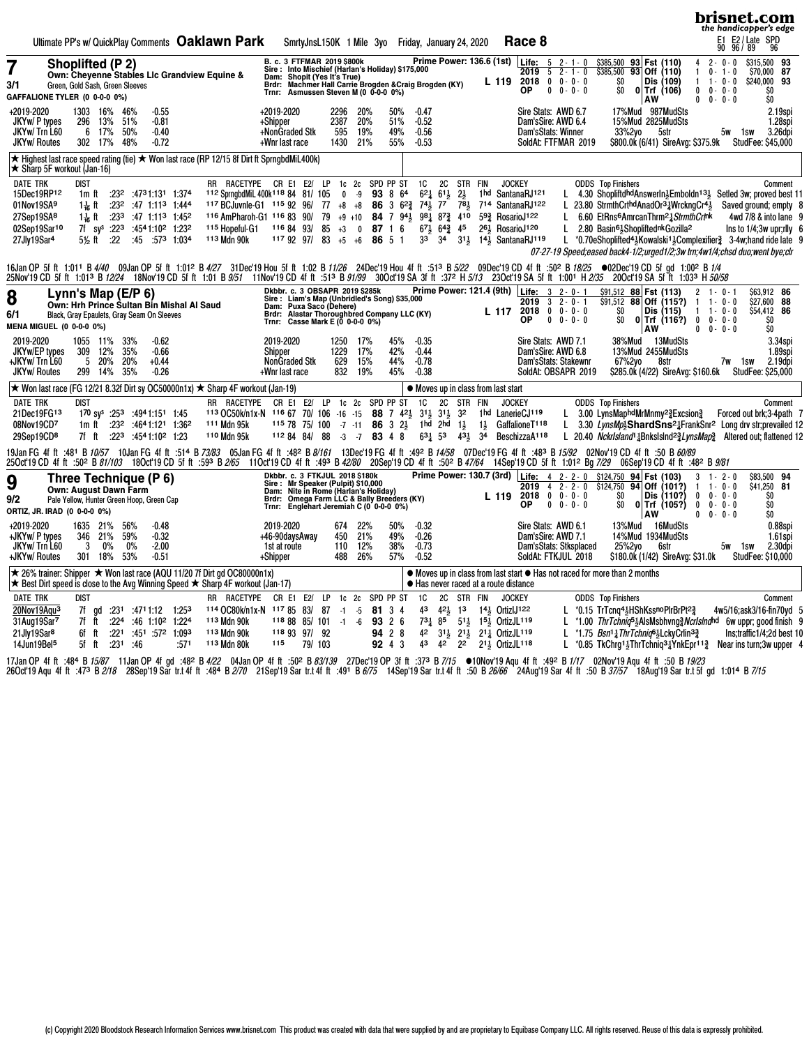|                                                                                                                                                                                                                                                                                                                                                                                                                                                                                                                                                                                                                  |                                                                                                                                                                                                                                                                                                                                                                                                                                                                                                                                                                                                                                                                                                                  | brisnet.com<br>the handicapper's edge                                                                                                                                                                                                                                                                                                                                                                                                                                                                                                                                                                                                             |
|------------------------------------------------------------------------------------------------------------------------------------------------------------------------------------------------------------------------------------------------------------------------------------------------------------------------------------------------------------------------------------------------------------------------------------------------------------------------------------------------------------------------------------------------------------------------------------------------------------------|------------------------------------------------------------------------------------------------------------------------------------------------------------------------------------------------------------------------------------------------------------------------------------------------------------------------------------------------------------------------------------------------------------------------------------------------------------------------------------------------------------------------------------------------------------------------------------------------------------------------------------------------------------------------------------------------------------------|---------------------------------------------------------------------------------------------------------------------------------------------------------------------------------------------------------------------------------------------------------------------------------------------------------------------------------------------------------------------------------------------------------------------------------------------------------------------------------------------------------------------------------------------------------------------------------------------------------------------------------------------------|
| Ultimate PP's w/ QuickPlay Comments Oaklawn Park                                                                                                                                                                                                                                                                                                                                                                                                                                                                                                                                                                 | Race 8<br>SmrtyJnsL150K 1 Mile 3yo Friday, January 24, 2020                                                                                                                                                                                                                                                                                                                                                                                                                                                                                                                                                                                                                                                      | E2 / Late SPD<br>96 / 89 96<br>E1<br>90                                                                                                                                                                                                                                                                                                                                                                                                                                                                                                                                                                                                           |
| <b>Shoplifted (P2)</b><br>Own: Chevenne Stables Lic Grandview Equine &<br>3/1<br>Green, Gold Sash, Green Sleeves<br>GAFFALIONE TYLER (0 0-0-0 0%)                                                                                                                                                                                                                                                                                                                                                                                                                                                                | Prime Power: 136.6 (1st) Life: 5 2-1-0<br>B. c. 3 FTFMAR 2019 \$800k<br>Sire: Into Mischief (Harlan's Holiday) \$175,000<br>$52 - 1 - 0$<br>2019<br>Dam: Shopit (Yes It's True)<br>2018<br>$0 \t 0 - 0 - 0$<br>L 119<br>Brdr: Machmer Hall Carrie Brogden & Craig Brogden (KY)<br>Trnr: Asmussen Steven M (0 0-0-0 0%)<br><b>OP</b><br>$0 \t 0 - 0 - 0$                                                                                                                                                                                                                                                                                                                                                          | \$315,500 93<br>\$385,500 93 Fst (110)<br>$2 - 0 - 0$<br>4<br>$\overline{93}$ Off (110)<br>\$385,500<br>$0 -$<br>\$70,000 87<br>$1 - 0$<br>SO.<br>Dis (109)<br>$1 - 0 - 0$<br>\$240,000 93<br>$\mathbf{1}$<br>SO.<br>$0$ Trf (106)<br>$0 - 0 - 0$<br>\$O<br>$\mathbf 0$<br>AW<br>0<br>$0 - 0 - 0$<br>\$O                                                                                                                                                                                                                                                                                                                                          |
| +2019-2020<br>1303 16%<br>46%<br>$-0.55$<br>JKYw/ P types<br>296<br>13%<br>51%<br>$-0.81$<br>JKYw/Trn L60<br>6 17%<br>50%<br>$-0.40$<br><b>JKYw/ Routes</b><br>302 17%<br>48%<br>$-0.72$                                                                                                                                                                                                                                                                                                                                                                                                                         | +2019-2020<br>2296<br>20%<br>50%<br>Sire Stats: AWD 6.7<br>$-0.47$<br>2387<br>$-0.52$<br>+Shipper<br>20%<br>51%<br>Dam'sSire: AWD 6.4<br>+NonGraded Stk<br>19%<br>49%<br>595<br>$-0.56$<br>Dam'sStats: Winner<br>1430<br>21%<br>55%<br>$-0.53$<br>SoldAt: FTFMAR 2019<br>+Wnr last race                                                                                                                                                                                                                                                                                                                                                                                                                          | 17%Mud 987MudSts<br>2.19spi<br>15%Mud 2825MudSts<br>1.28spi<br>33%2yo<br>3.26dpi<br>5str<br>5w<br>1sw<br>\$800.0k (6/41) SireAvg: \$375.9k<br><b>StudFee: \$45,000</b>                                                                                                                                                                                                                                                                                                                                                                                                                                                                            |
| ★ Highest last race speed rating (tie) ★ Won last race (RP 12/15 8f Dirt ft SprngbdMiL400k)<br>$\star$ Sharp 5F workout (Jan-16)                                                                                                                                                                                                                                                                                                                                                                                                                                                                                 |                                                                                                                                                                                                                                                                                                                                                                                                                                                                                                                                                                                                                                                                                                                  |                                                                                                                                                                                                                                                                                                                                                                                                                                                                                                                                                                                                                                                   |
| <b>DATE TRK</b><br>dist<br>RR RACETYPE CR E1 E2/ LP<br>15Dec19RP12<br>1.374 1m ft .23 <sup>2</sup> .4731:131<br>112 SprngbdMiL 400k <sup>118</sup> 84 81/ 105<br>01Nov19SA9<br>1 <del>1 a</del> ft<br>$:23^2$ :47 1:11 <sup>3</sup> 1:444<br>27Sep19SA <sup>8</sup><br>1 <sup>1</sup> / <sub>16</sub> ft :23 <sup>3</sup> :47 1:11 <sup>3</sup> 1:45 <sup>2</sup><br>116 AmPharoh-G1 116 83 90/<br>02Sep19Sar10<br>7f sy <sup>s</sup> :22 <sup>3</sup> :4541:10 <sup>2</sup> 1:23 <sup>2</sup><br><sup>115</sup> Hopeful-G1<br>113 Mdn 90k<br>27Jly19Sar <sup>4</sup><br>$5\frac{1}{2}$ ft :22<br>:45 :573 1:034 | 1c 2c SPD PP ST<br>1C<br>2C<br><b>JOCKEY</b><br>STR FIN<br>SantanaRJ121<br>93 8 64<br>$62\frac{1}{4}$ $61\frac{1}{2}$<br>$2\frac{1}{2}$<br>$0 - 9$<br>1 hd<br>117 BCJuvnle-G1 115 92 96/ 77 +8 +8<br>86 3 $6^{23}$ 7 <sup>41</sup> / <sub>2</sub><br>$78\frac{1}{2}$<br>714 SantanaRJ122<br>77<br>L<br>79<br>$+9$ +10 84 7 9 <sup>41</sup> / <sub>3</sub><br>981 873 410<br>593 RosarioJ122<br>L<br>45<br>26 <sup>1</sup> / <sub>2</sub> RosarioJ <sup>120</sup><br>L<br>116 84 93/<br>85<br>$67\frac{1}{2}$ $64\frac{3}{4}$<br>$+3$<br>$\mathbf 0$<br>87 1 6<br>3 <sup>4</sup><br>$3^{11}$<br>14 <sup>1</sup> / <sub>3</sub> SantanaRJ <sup>119</sup><br>117 92 97/ 83<br>$+5$ $+6$<br>86 5 1<br>3 <sup>3</sup> | <b>ODDS</b> Top Finishers<br>Comment<br>L 4.30 ShopliftdhdAnswerIn $\frac{1}{2}$ Emboldn <sup>13</sup> Setled 3w; proved best 11<br>23.80 StrmthCrthdAnadOr <sup>31</sup> /WrckngCr <sup>41</sup><br>Saved ground; empty 8<br>6.60 EtRns <sup>6</sup> AmrcanThrm <sup>2</sup> 3 Strmth Crtnk<br>4wd 7/8 & into lane 9<br>2.80 Basin <sup>61</sup> , Shopliftednk Gozilla <sup>2</sup><br>Ins to $1/4$ ; 3w upr; rlly 6<br>L *0.70eShoplifted <sup>41</sup> <sub>2</sub> Kowalski <sup>11</sup> <sub>2</sub> Complexifier <sup>3</sup> 3-4w; hand ride late 9<br>07-27-19 Speed; eased back4-1/2; urged1/2; 3w trn; 4w1/4; chsd duo; went bye; clr |
|                                                                                                                                                                                                                                                                                                                                                                                                                                                                                                                                                                                                                  | 1/02 B 1/4 1.011 B 4/40 09Jan OP 5f ft 1:012 B 4/27 31Dec'19 Hou 5f ft 1:02 B 11/26 24Dec'19 Hou 4f ft :513 B 5/22 09Dec'19 CD 4f ft :502 B 18/25 ●02Dec'19 CD 5f gd 1:002 B 1/4<br>25Nov19 CD 5f ft 1:01 <sup>3</sup> B 72/24 18Nov19 CD 5f ft 1:01 B 9/57 11Nov19 CD 4f ft :51 <sup>3</sup> B 9/79 30Oct19 SA 3f ft :37 <sup>2</sup> H 5//3 23Oct19 SA 5f ft 1:001 H 2/35 20Oct19 SA 5f ft 1:03 H 50/58                                                                                                                                                                                                                                                                                                        |                                                                                                                                                                                                                                                                                                                                                                                                                                                                                                                                                                                                                                                   |
| 8<br>Lynn's Map (E/P $6$ )<br>Own: Hrh Prince Sultan Bin Mishal Al Saud<br>6/1<br>Black, Gray Epaulets, Gray Seam On Sleeves<br>MENA MIGUEL (0 0-0-0 0%)                                                                                                                                                                                                                                                                                                                                                                                                                                                         | Prime Power: 121.4 (9th)   Life: 3 2-0-1<br>Dkbbr. c. 3 OBSAPR 2019 \$285k Pri<br>Sire : Liam's Map (Unbridled's Song) \$35,000<br>Dam: Puxa Saco (Dehere)<br>2019<br>$32 - 0 - 1$<br>2018<br>$0 \t 0 - 0 - 0$<br>L 117<br>Brdr: Alastar Thoroughbred Company LLC (KY)<br>ΟP<br>$0 \t 0 - 0 - 0$<br>Trnr: Casse Mark E ( $\bar{0}$ 0-0-0 0%)                                                                                                                                                                                                                                                                                                                                                                     | \$63.912 86<br>\$91,512 88 Fst (113)<br>2<br>$1 - 0 - 1$<br>$$91,512$ 88 Off (115?)<br>\$27,600 88<br>$1 - 0 - 0$<br>-1<br>SO.<br>Dis (115)<br>$1 \t1 - 0 - 0$<br>\$54,412 86<br>SO.<br>$0$ Trf (116?)<br>\$O<br>$\bf{0}$<br>$0 - 0 - 0$<br>\$O<br>AW<br>$0 \t 0 \t 0 \t 0$                                                                                                                                                                                                                                                                                                                                                                       |
| 2019-2020<br>33%<br>$-0.62$<br>1055 11%<br>JKYw/EP types<br>309 12%<br>35%<br>$-0.66$<br>20%<br>+JKYw/ Trn L60<br>5<br>20%<br>$+0.44$<br><b>JKYw/ Routes</b><br>299 14%<br>35%<br>$-0.26$                                                                                                                                                                                                                                                                                                                                                                                                                        | 2019-2020<br>17%<br>45%<br>$-0.35$<br>Sire Stats: AWD 7.1<br>1250<br>1229<br>17%<br>42%<br>$-0.44$<br>Dam'sSire: AWD 6.8<br>Shipper<br><b>NonGraded Stk</b><br>15%<br>44%<br>629<br>$-0.78$<br>Dam'sStats: Stakewnr<br>832<br>19%<br>45%<br>$-0.38$<br>SoldAt: OBSAPR 2019<br>+Wnr last race                                                                                                                                                                                                                                                                                                                                                                                                                     | 38%Mud<br>3.34spi<br>13MudSts<br>13%Mud 2455MudSts<br>1.89spi<br>67%2yo<br>2.19dpi<br>8str<br>7w 1sw<br>StudFee: \$25,000<br>\$285.0k (4/22) SireAvg: \$160.6k                                                                                                                                                                                                                                                                                                                                                                                                                                                                                    |
| ★ Won last race (FG 12/21 8.32f Dirt sy OC50000n1x) ★ Sharp 4F workout (Jan-19)                                                                                                                                                                                                                                                                                                                                                                                                                                                                                                                                  | $\bullet$ Moves up in class from last start                                                                                                                                                                                                                                                                                                                                                                                                                                                                                                                                                                                                                                                                      |                                                                                                                                                                                                                                                                                                                                                                                                                                                                                                                                                                                                                                                   |
| <b>DATE TRK</b><br>RR RACETYPE<br>dist<br>21Dec19FG13<br>170 sy <sup>s</sup> :253 :494 1:151 1:45<br>1m ft :23 <sup>2</sup> :4641:121 1:36 <sup>2</sup><br>111 Mdn 95k<br>08Nov19CD7<br>110 Mdn 95k<br>29Sep19CD <sup>8</sup><br>7f ft<br>$:22^3$ $:45^41:10^2$ 1:23                                                                                                                                                                                                                                                                                                                                             | SPD PP ST<br>CR E1 E2/ LP<br>1c <sub>2c</sub><br><b>1C</b><br><b>2C</b><br>STR FIN<br><b>JOCKEY</b><br>1hd LanerieCJ119<br>113 OC50k/n1x-N 116 67 70/ 106 -16 -15<br><b>88</b> 7 $42\frac{1}{2}$<br>$31\frac{1}{2}$ $31\frac{1}{2}$ $32$<br>1hd 2hd<br>GaffalioneT118<br>$1157875/100 - 7 - 118632$<br>$1\frac{1}{2}$<br>$1\frac{1}{2}$<br>$63\frac{1}{4}$ 53<br>112 84 84/<br>- 88<br>$-7$<br>83 4 8<br>$43\frac{1}{2}$<br>3 <sup>4</sup><br>BeschizzaA118<br>$-3$                                                                                                                                                                                                                                              | <b>ODDS</b> Top Finishers<br>Comment<br>L 3.00 LynsMaphdMrMnmy <sup>2</sup> Excsion <sup>3</sup><br>Forced out brk;3-4path 7<br>L 3.30 LynsMp <sup>3</sup> ShardSns <sup>2</sup> <sup>1</sup> FrankSnr <sup>2</sup> Long drv str;prevailed 12<br>L 20.40 Nckrlsland <sup>1</sup> 1Bnkslslnd <sup>23</sup> LynsMap <sup>3</sup> Altered out; flattened 12                                                                                                                                                                                                                                                                                          |
|                                                                                                                                                                                                                                                                                                                                                                                                                                                                                                                                                                                                                  | 19Jan FG 4f ft :48ª B <i>10/57</i> 10Jan FG 4f ft :514 B <i>73/83</i> 05Jan FG 4f ft :48ª B <i>8/161</i> 13Dec'19 FG 4f ft :49ª B <i>14/58</i> 07Dec'19 FG 4f ft :48ª B <i>15/92</i> 02Nov'19 CD 4f ft :50 B <i>60/89</i><br>260cf19CD 4f ft :50º B <i>81/103</i> 18Ocf19CD 5f ft :59º B <i>2/65</i> 11Ocf19CD 4f ft :49º B <i>42/80</i> 20Sep'19CD 4f ft :50º B <i>47/64</i> 14Sep'19CD 5f ft 1:01° Bg 7/29 06Sep'19CD 4f ft :48º B <i>9/81</i>                                                                                                                                                                                                                                                                 |                                                                                                                                                                                                                                                                                                                                                                                                                                                                                                                                                                                                                                                   |
| Three Technique (P 6)<br>9<br>Own: August Dawn Farm<br>9/2<br>Pale Yellow, Hunter Green Hoop, Green Cap<br>ORTIZ, JR. IRAD (0 0-0-0 0%)                                                                                                                                                                                                                                                                                                                                                                                                                                                                          | Prime Power: 130.7 (3rd) Life: 4 2-2-0 \$124,750 94 Fst (103)<br>Dkbbr. c. 3 FTKJUL 2018 \$180k<br>Sire: Mr Speaker (Pulpit) \$10,000<br>Dam: Nite in Rome (Harlan's Holiday)<br>2019<br>$4$ 2 - 2 - 0<br>2018<br>$0 \t 0 - 0 - 0$<br>L 119<br>Brdr: Omega Farm LLC & Bally Breeders (KY)<br>$0 \t 0 - 0 - 0$<br>ОP<br>Trnr: Englehart Jeremiah C (0 0-0-0 0%)                                                                                                                                                                                                                                                                                                                                                   | \$83,500 94<br>3<br>$1 - 2 - 0$<br>\$124,750<br>94 Off (101?)<br>$1 - 0 - 0$<br>\$41,250<br>-81<br>-1<br>\$O<br>\$O<br>Dis (110?)<br>$0 - 0 - 0$<br>0<br>\$O<br>SO.<br>$0$ Trf (105?)<br>$\bf{0}$<br>$0 - 0 - 0$<br>AW<br>\$O<br>$\mathbf{0}$<br>$0 - 0 - 0$                                                                                                                                                                                                                                                                                                                                                                                      |
| +2019-2020<br>1635 21%<br>56%<br>$-0.48$<br>+JKYw/ P types<br>346 21%<br>59%<br>$-0.32$<br>JKYw/Trn L60<br>0%<br>0%<br>$-2.00$<br>3<br>301 18%<br>53%<br>-0.51<br>+JKYw/ Routes                                                                                                                                                                                                                                                                                                                                                                                                                                  | 22%<br>$-0.32$<br>2019-2020<br>674<br>50%<br>Sire Stats: AWD 6.1<br>+46-90daysAway<br>450<br>21%<br>49%<br>$-0.26$<br>Dam'sSire: AWD 7.1<br>12%<br>38%<br>$-0.73$<br>1st at route<br>Dam'sStats: Stksplaced<br>110<br>26%<br>488<br>57%<br>$-0.52$<br>SoldAt: FTKJUL 2018<br>+Shipper                                                                                                                                                                                                                                                                                                                                                                                                                            | 13%Mud 16MudSts<br>0.88spi<br>14%Mud 1934MudSts<br>1.61spi<br>25%2yo<br>2.30dpi<br>6str<br>5w 1sw<br>StudFee: \$10,000<br>\$180.0k (1/42) SireAvg: \$31.0k                                                                                                                                                                                                                                                                                                                                                                                                                                                                                        |
| $\star$ 26% trainer: Shipper $\star$ Won last race (AQU 11/20 7f Dirt gd OC80000n1x)<br>★ Best Dirt speed is close to the Avg Winning Speed ★ Sharp 4F workout (Jan-17)                                                                                                                                                                                                                                                                                                                                                                                                                                          | • Moves up in class from last start • Has not raced for more than 2 months<br>$\bullet$ Has never raced at a route distance                                                                                                                                                                                                                                                                                                                                                                                                                                                                                                                                                                                      |                                                                                                                                                                                                                                                                                                                                                                                                                                                                                                                                                                                                                                                   |
| <b>DATE TRK</b><br>RR RACETYPE<br>dist<br>20Nov19Aqu <sup>3</sup><br>114 OC80k/n1x-N 117 85<br>1:25 <sup>3</sup> 1:12 1:253 7f gd<br>31Aug19Sar7<br>113 Mdn 90k<br>$:22^4:46$ 1:10 <sup>2</sup> 1:224<br>7f ft<br>21Jly19Sar <sup>8</sup><br>:221<br>:451 :572 1:093<br>113 Mdn 90k<br>6f ft<br>14Jun19Bel <sup>5</sup><br>5f ft<br>:231<br>:571<br>113 Mdn 80k<br>-:46                                                                                                                                                                                                                                          | LP<br>SPD PP ST<br>1C<br>2C<br>STR FIN<br>CR E1 E2/<br>1c <sub>2c</sub><br><b>JOCKEY</b><br>83/<br>87<br>43<br>$42\frac{1}{2}$ 13<br>$14\frac{1}{2}$ OrtizlJ122<br>$-1 - 5$<br>81 3 4<br>$73\frac{1}{4}$ 85<br>118 88 85/101<br>$-1 -6$<br>93 2 6<br>511 151 OrtizJL119<br>118 93 97/ 92<br>94 2 8<br>42<br>31} 21} 211 OrtizJL119<br>43<br>2 <sup>2</sup><br>211 OrtizJL118<br>115<br>79/103<br>92 4 3<br>42                                                                                                                                                                                                                                                                                                    | <b>ODDS</b> Top Finishers<br>Comment<br>L *0.15 TrTcnq4}HShKssnoPlrBrPt23<br>4w5/16;ask3/16-fin70yd 5<br>L *1.00 ThrTchniq <sup>5</sup> AlsMsbhvng 2 Norlslnghd 6w uppr; good finish 9<br>L *1.75 Bsn <sup>1</sup> 1 Thr Tchniq <sup>6</sup> 3 Lcky Crlin <sup>3</sup> <sup>2</sup><br>Ins;traffic1/4;2d best 10<br>L *0.85 TkChrg1, ThrTchniq3, YnkEpr <sup>11</sup> $\frac{3}{4}$ Near insturn; 3w upper 4                                                                                                                                                                                                                                      |

17Jan OP 4fft :484°B1*5/87* 11Jan OP 4fgd :482°B*4/22* 04Jan OP 4fft :502°B*83/139* 27Dec'19OP 3fft :373°B7/1*5* ●10Nov'19Aqu 4fft :492°B1/17 02Nov'19Aqu 4fft :50°B*19/23*<br>26Oct19Aqu 4fft :473°B*2/18* 28Sep'19Sartr.t4fft